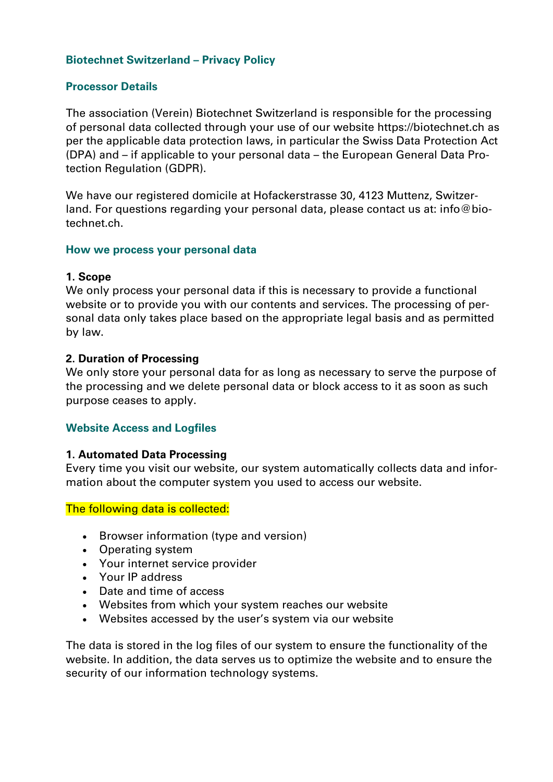#### **Biotechnet Switzerland – Privacy Policy**

#### **Processor Details**

The association (Verein) Biotechnet Switzerland is responsible for the processing of personal data collected through your use of our website https://biotechnet.ch as per the applicable data protection laws, in particular the Swiss Data Protection Act (DPA) and – if applicable to your personal data – the European General Data Protection Regulation (GDPR).

We have our registered domicile at Hofackerstrasse 30, 4123 Muttenz, Switzerland. For questions regarding your personal data, please contact us at: [info@bio](mailto:info@biotechnet.ch)[technet.ch.](mailto:info@biotechnet.ch)

#### **How we process your personal data**

#### **1. Scope**

We only process your personal data if this is necessary to provide a functional website or to provide you with our contents and services. The processing of personal data only takes place based on the appropriate legal basis and as permitted by law.

#### **2. Duration of Processing**

We only store your personal data for as long as necessary to serve the purpose of the processing and we delete personal data or block access to it as soon as such purpose ceases to apply.

#### **Website Access and Logfiles**

#### **1. Automated Data Processing**

Every time you visit our website, our system automatically collects data and information about the computer system you used to access our website.

The following data is collected:

- Browser information (type and version)
- Operating system
- Your internet service provider
- Your IP address
- Date and time of access
- Websites from which your system reaches our website
- Websites accessed by the user's system via our website

The data is stored in the log files of our system to ensure the functionality of the website. In addition, the data serves us to optimize the website and to ensure the security of our information technology systems.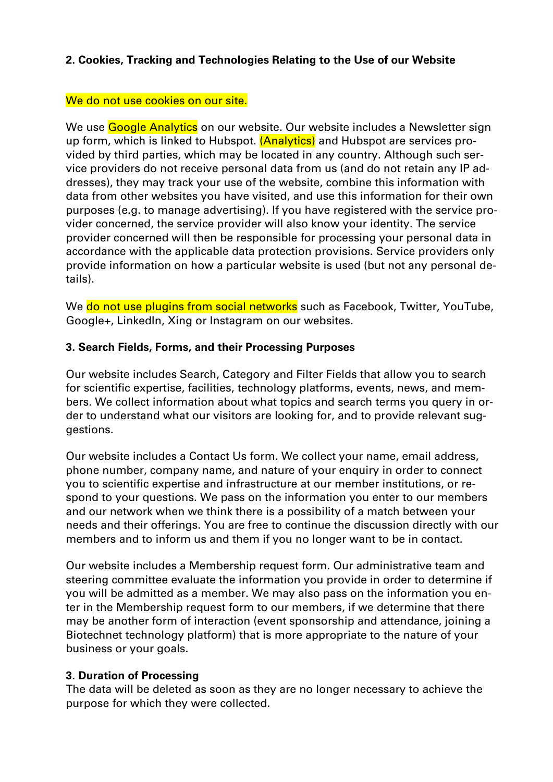## **2. Cookies, Tracking and Technologies Relating to the Use of our Website**

## We do not use cookies on our site.

We use Google Analytics on our website. Our website includes a Newsletter sign up form, which is linked to Hubspot. (Analytics) and Hubspot are services provided by third parties, which may be located in any country. Although such service providers do not receive personal data from us (and do not retain any IP addresses), they may track your use of the website, combine this information with data from other websites you have visited, and use this information for their own purposes (e.g. to manage advertising). If you have registered with the service provider concerned, the service provider will also know your identity. The service provider concerned will then be responsible for processing your personal data in accordance with the applicable data protection provisions. Service providers only provide information on how a particular website is used (but not any personal details).

We do not use plugins from social networks such as Facebook, Twitter, YouTube, Google+, LinkedIn, Xing or Instagram on our websites.

## **3. Search Fields, Forms, and their Processing Purposes**

Our website includes Search, Category and Filter Fields that allow you to search for scientific expertise, facilities, technology platforms, events, news, and members. We collect information about what topics and search terms you query in order to understand what our visitors are looking for, and to provide relevant suggestions.

Our website includes a Contact Us form. We collect your name, email address, phone number, company name, and nature of your enquiry in order to connect you to scientific expertise and infrastructure at our member institutions, or respond to your questions. We pass on the information you enter to our members and our network when we think there is a possibility of a match between your needs and their offerings. You are free to continue the discussion directly with our members and to inform us and them if you no longer want to be in contact.

Our website includes a Membership request form. Our administrative team and steering committee evaluate the information you provide in order to determine if you will be admitted as a member. We may also pass on the information you enter in the Membership request form to our members, if we determine that there may be another form of interaction (event sponsorship and attendance, joining a Biotechnet technology platform) that is more appropriate to the nature of your business or your goals.

## **3. Duration of Processing**

The data will be deleted as soon as they are no longer necessary to achieve the purpose for which they were collected.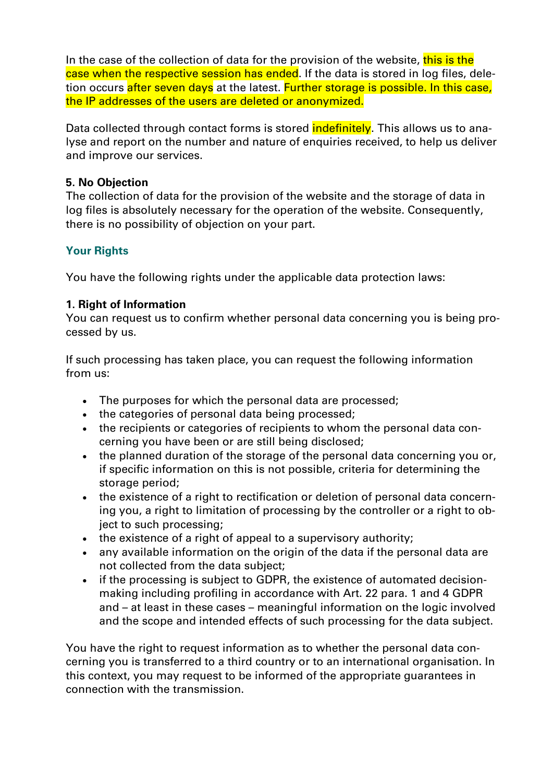In the case of the collection of data for the provision of the website, this is the case when the respective session has ended. If the data is stored in log files, deletion occurs after seven days at the latest. Further storage is possible. In this case, the IP addresses of the users are deleted or anonymized.

Data collected through contact forms is stored **indefinitely**. This allows us to analyse and report on the number and nature of enquiries received, to help us deliver and improve our services.

#### **5. No Objection**

The collection of data for the provision of the website and the storage of data in log files is absolutely necessary for the operation of the website. Consequently, there is no possibility of objection on your part.

## **Your Rights**

You have the following rights under the applicable data protection laws:

## **1. Right of Information**

You can request us to confirm whether personal data concerning you is being processed by us.

If such processing has taken place, you can request the following information from us:

- The purposes for which the personal data are processed;
- the categories of personal data being processed;
- the recipients or categories of recipients to whom the personal data concerning you have been or are still being disclosed;
- the planned duration of the storage of the personal data concerning you or, if specific information on this is not possible, criteria for determining the storage period;
- the existence of a right to rectification or deletion of personal data concerning you, a right to limitation of processing by the controller or a right to object to such processing;
- the existence of a right of appeal to a supervisory authority;
- any available information on the origin of the data if the personal data are not collected from the data subject;
- if the processing is subject to GDPR, the existence of automated decisionmaking including profiling in accordance with Art. 22 para. 1 and 4 GDPR and – at least in these cases – meaningful information on the logic involved and the scope and intended effects of such processing for the data subject.

You have the right to request information as to whether the personal data concerning you is transferred to a third country or to an international organisation. In this context, you may request to be informed of the appropriate guarantees in connection with the transmission.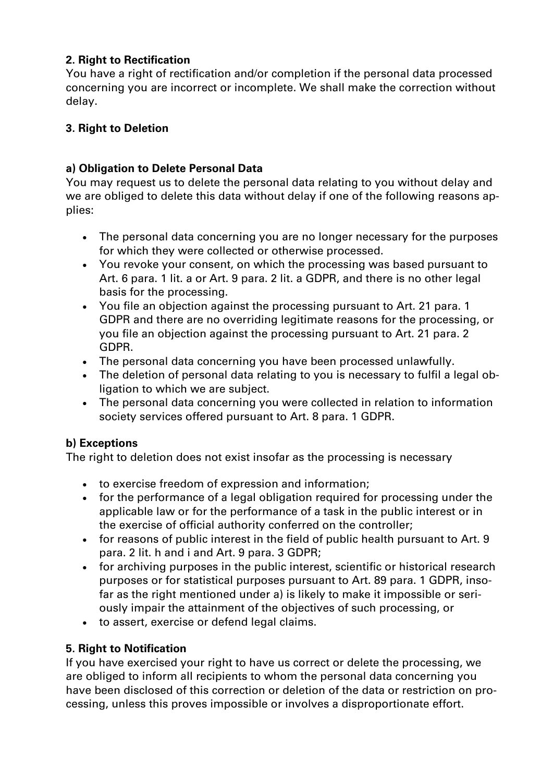# **2. Right to Rectification**

You have a right of rectification and/or completion if the personal data processed concerning you are incorrect or incomplete. We shall make the correction without delay.

## **3. Right to Deletion**

# **a) Obligation to Delete Personal Data**

You may request us to delete the personal data relating to you without delay and we are obliged to delete this data without delay if one of the following reasons applies:

- The personal data concerning you are no longer necessary for the purposes for which they were collected or otherwise processed.
- You revoke your consent, on which the processing was based pursuant to Art. 6 para. 1 lit. a or Art. 9 para. 2 lit. a GDPR, and there is no other legal basis for the processing.
- You file an objection against the processing pursuant to Art. 21 para. 1 GDPR and there are no overriding legitimate reasons for the processing, or you file an objection against the processing pursuant to Art. 21 para. 2 GDPR.
- The personal data concerning you have been processed unlawfully.
- The deletion of personal data relating to you is necessary to fulfil a legal obligation to which we are subject.
- The personal data concerning you were collected in relation to information society services offered pursuant to Art. 8 para. 1 GDPR.

# **b) Exceptions**

The right to deletion does not exist insofar as the processing is necessary

- to exercise freedom of expression and information;
- for the performance of a legal obligation required for processing under the applicable law or for the performance of a task in the public interest or in the exercise of official authority conferred on the controller;
- for reasons of public interest in the field of public health pursuant to Art. 9 para. 2 lit. h and i and Art. 9 para. 3 GDPR;
- for archiving purposes in the public interest, scientific or historical research purposes or for statistical purposes pursuant to Art. 89 para. 1 GDPR, insofar as the right mentioned under a) is likely to make it impossible or seriously impair the attainment of the objectives of such processing, or
- to assert, exercise or defend legal claims.

## **5. Right to Notification**

If you have exercised your right to have us correct or delete the processing, we are obliged to inform all recipients to whom the personal data concerning you have been disclosed of this correction or deletion of the data or restriction on processing, unless this proves impossible or involves a disproportionate effort.